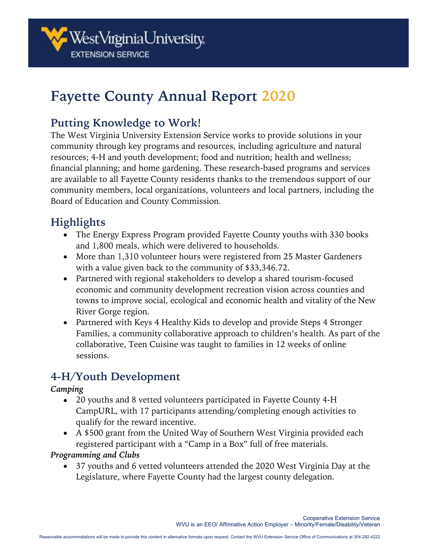

# **Fayette County Annual Report 2020**

### **Putting Knowledge to Work!**

The West Virginia University Extension Service works to provide solutions in your community through key programs and resources, including agriculture and natural resources; 4-H and youth development; food and nutrition; health and wellness; financial planning; and home gardening. These research-based programs and services are available to all Fayette County residents thanks to the tremendous support of our community members, local organizations, volunteers and local partners, including the Board of Education and County Commission.

# **Highlights**

- The Energy Express Program provided Fayette County youths with 330 books and 1,800 meals, which were delivered to households.
- More than 1,310 volunteer hours were registered from 25 Master Gardeners with a value given back to the community of \$33,346.72.
- Partnered with regional stakeholders to develop a shared tourism-focused economic and community development recreation vision across counties and towns to improve social, ecological and economic health and vitality of the New River Gorge region.
- Partnered with Keys 4 Healthy Kids to develop and provide Steps 4 Stronger Families, a community collaborative approach to children's health. As part of the collaborative, Teen Cuisine was taught to families in 12 weeks of online sessions.

# **4-H/Youth Development**

#### *Camping*

- 20 youths and 8 vetted volunteers participated in Fayette County 4-H CampURL, with 17 participants attending/completing enough activities to qualify for the reward incentive.
- A \$500 grant from the United Way of Southern West Virginia provided each registered participant with a "Camp in a Box" full of free materials.

### *Programming and Clubs*

• 37 youths and 6 vetted volunteers attended the 2020 West Virginia Day at the Legislature, where Fayette County had the largest county delegation.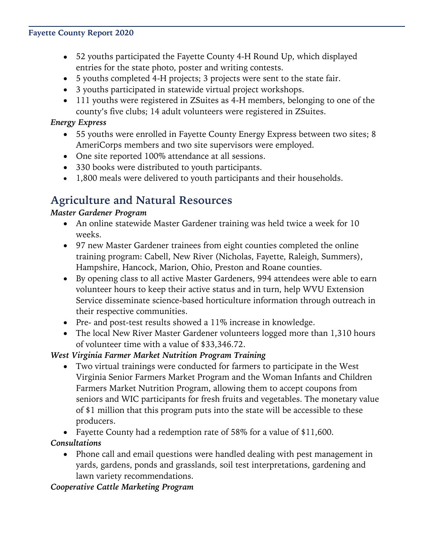#### **Fayette County Report 2020**

- 52 youths participated the Fayette County 4-H Round Up, which displayed entries for the state photo, poster and writing contests.
- 5 youths completed 4-H projects; 3 projects were sent to the state fair.
- 3 youths participated in statewide virtual project workshops.
- 111 youths were registered in ZSuites as 4-H members, belonging to one of the county's five clubs; 14 adult volunteers were registered in ZSuites.

### *Energy Express*

- 55 youths were enrolled in Fayette County Energy Express between two sites; 8 AmeriCorps members and two site supervisors were employed.
- One site reported 100% attendance at all sessions.
- 330 books were distributed to youth participants.
- 1,800 meals were delivered to youth participants and their households.

# **Agriculture and Natural Resources**

### *Master Gardener Program*

- An online statewide Master Gardener training was held twice a week for 10 weeks.
- 97 new Master Gardener trainees from eight counties completed the online training program: Cabell, New River (Nicholas, Fayette, Raleigh, Summers), Hampshire, Hancock, Marion, Ohio, Preston and Roane counties.
- By opening class to all active Master Gardeners, 994 attendees were able to earn volunteer hours to keep their active status and in turn, help WVU Extension Service disseminate science-based horticulture information through outreach in their respective communities.
- Pre- and post-test results showed a 11% increase in knowledge.
- The local New River Master Gardener volunteers logged more than 1,310 hours of volunteer time with a value of \$33,346.72.

### *West Virginia Farmer Market Nutrition Program Training*

- Two virtual trainings were conducted for farmers to participate in the West Virginia Senior Farmers Market Program and the Woman Infants and Children Farmers Market Nutrition Program, allowing them to accept coupons from seniors and WIC participants for fresh fruits and vegetables. The monetary value of \$1 million that this program puts into the state will be accessible to these producers.
- Fayette County had a redemption rate of 58% for a value of \$11,600.

### *Consultations*

• Phone call and email questions were handled dealing with pest management in yards, gardens, ponds and grasslands, soil test interpretations, gardening and lawn variety recommendations.

### *Cooperative Cattle Marketing Program*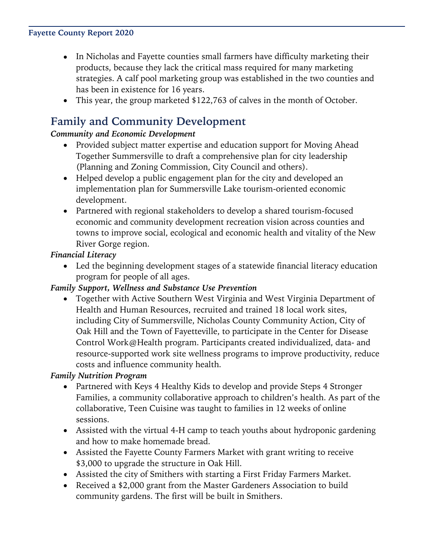#### **Fayette County Report 2020**

- In Nicholas and Fayette counties small farmers have difficulty marketing their products, because they lack the critical mass required for many marketing strategies. A calf pool marketing group was established in the two counties and has been in existence for 16 years.
- This year, the group marketed \$122,763 of calves in the month of October.

# **Family and Community Development**

#### *Community and Economic Development*

- Provided subject matter expertise and education support for Moving Ahead Together Summersville to draft a comprehensive plan for city leadership (Planning and Zoning Commission, City Council and others).
- Helped develop a public engagement plan for the city and developed an implementation plan for Summersville Lake tourism-oriented economic development.
- Partnered with regional stakeholders to develop a shared tourism-focused economic and community development recreation vision across counties and towns to improve social, ecological and economic health and vitality of the New River Gorge region.

#### *Financial Literacy*

• Led the beginning development stages of a statewide financial literacy education program for people of all ages.

#### *Family Support, Wellness and Substance Use Prevention*

• Together with Active Southern West Virginia and West Virginia Department of Health and Human Resources, recruited and trained 18 local work sites, including City of Summersville, Nicholas County Community Action, City of Oak Hill and the Town of Fayetteville, to participate in the Center for Disease Control Work@Health program. Participants created individualized, data- and resource-supported work site wellness programs to improve productivity, reduce costs and influence community health.

### *Family Nutrition Program*

- Partnered with Keys 4 Healthy Kids to develop and provide Steps 4 Stronger Families, a community collaborative approach to children's health. As part of the collaborative, Teen Cuisine was taught to families in 12 weeks of online sessions.
- Assisted with the virtual 4-H camp to teach youths about hydroponic gardening and how to make homemade bread.
- Assisted the Fayette County Farmers Market with grant writing to receive \$3,000 to upgrade the structure in Oak Hill.
- Assisted the city of Smithers with starting a First Friday Farmers Market.
- Received a \$2,000 grant from the Master Gardeners Association to build community gardens. The first will be built in Smithers.